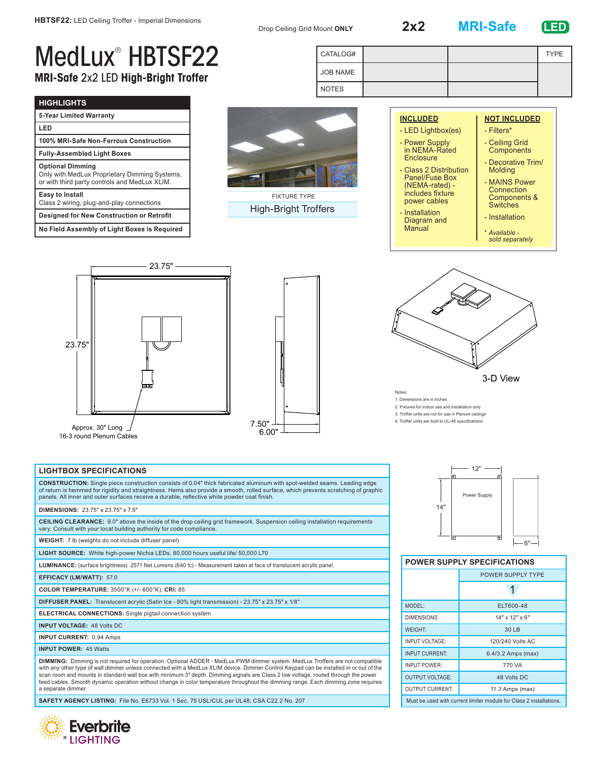Drop Ceiling Grid Mount **ONLY 2x2 MRI-Safe LED**

JOB NAME NOTES

CATALOG# TYPE

## MedLux® HBTSF22 **MRI-Safe** 2x2 LED **High-Bright Troffer**

| <b>HIGHLIGHTS</b>                                                                                                         |  |  |
|---------------------------------------------------------------------------------------------------------------------------|--|--|
| 5-Year Limited Warranty                                                                                                   |  |  |
| LED                                                                                                                       |  |  |
| 100% MRI-Safe Non-Ferrous Construction                                                                                    |  |  |
| <b>Fully-Assembled Light Boxes</b>                                                                                        |  |  |
| <b>Optional Dimming</b><br>Only with MedLux Proprietary Dimming Systems,<br>or with third party controls and MedLux XLIM. |  |  |
| Easy to Install<br>Class 2 wiring, plug-and-play connections                                                              |  |  |
| <b>Designed for New Construction or Retrofit</b>                                                                          |  |  |
| No Field Assembly of Light Boxes is Required                                                                              |  |  |



High-Bright Troffers

| <b>INCLUDED</b>                                                             | <b>NOT INCLUDED</b>                                            |
|-----------------------------------------------------------------------------|----------------------------------------------------------------|
| - LED Lightbox(es)                                                          | - Filters*                                                     |
| - Power Supply<br>in NEMA-Rated                                             | - Ceiling Grid<br>Components                                   |
| Enclosure<br>- Class 2 Distribution                                         | - Decorative Trim/<br><b>Molding</b>                           |
| <b>Panel/Fuse Box</b><br>(NEMA-rated) -<br>includes fixture<br>power cables | - MAINS Power<br>Connection<br>Components &<br><b>Switches</b> |
| - Installation<br>Diagram and<br>Manual                                     | - Installation                                                 |
|                                                                             | * Available -<br>sold separately                               |







Notes:

1. Dimensions are in inches

2. Fixtures for indoor use and installation only

3. Troffer units are not for use in Plenum ceilings

4. Troffer units are built to UL-48 specifications

## **LIGHTBOX SPECIFICATIONS**

**CONSTRUCTION:** Single piece construction consists of 0.04″ thick fabricated aluminum with spot-welded seams. Leading edge of return is hemmed for rigidity and straightness. Hems also provide a smooth, rolled surface, which prevents scratching of graphic panels. All inner and outer surfaces receive a durable, reflective white powder coat finish.

## **DIMENSIONS:** 23.75″ x 23.75″ x 7.5″

**CEILING CLEARANCE:** 9.0″ above the inside of the drop ceiling grid framework. Suspension ceiling installation requirements vary. Consult with your local building authority for code compliance.

**WEIGHT:** 7 lb (weights do not include diffuser panel)

**LIGHT SOURCE:** White high-power Nichia LEDs. 80,000 hours useful life/ 50,000 L70

**LUMINANCE:** (surface brightness) 2571 Net Lumens (640 fc) - Measurement taken at face of translucent acrylic panel.

**EFFICACY (LM/WATT):** 57.0

**COLOR TEMPERATURE:** 3500°K (+/- 600°K), **CRI:** 85

**DIFFUSER PANEL:** Translucent acrylic (Satin Ice - 80% light transmission) - 23.75″ x 23.75″ x 1/8″

**ELECTRICAL CONNECTIONS:** Single pigtail connection system

**INPUT VOLTAGE:** 48 Volts DC

**INPUT CURRENT:** 0.94 Amps

**INPUT POWER:** 45 Watts

**DIMMING:** Dimming is not required for operation. Optional ADDER - MedLux PWM dimmer system. MedLux Troffers are not compatible with any other type of wall dimmer unless connected with a MedLux XLIM device. Dimmer Control Keypad can be installed in or out of the scan room and mounts in standard wall box with minimum 3″ depth. Dimming signals are Class 2 low voltage, routed through the power feed cables. Smooth dynamic operation without change in color temperature throughout the dimming range. Each dimming zone requires a separate dimmer.

**SAFETY AGENCY LISTING:** File No. E6733 Vol. 1 Sec. 75 USL/CUL per UL48; CSA C22.2 No. 207





|  | <b>POWER SUPPLY SPECIFICATIONS</b> |
|--|------------------------------------|
|  |                                    |

|                                                                     | POWER SUPPLY TYPE  |  |
|---------------------------------------------------------------------|--------------------|--|
|                                                                     |                    |  |
| MODEL:                                                              | ELT600-48          |  |
| DIMENSIONS:                                                         | $14"$ x $12"$ x 6" |  |
| <b>WEIGHT:</b>                                                      | 30 LB              |  |
| <b>INPUT VOLTAGE:</b>                                               | 120/240 Volts AC   |  |
| <b>INPUT CURRENT:</b>                                               | 6.4/3.2 Amps (max) |  |
| <b>INPUT POWER:</b>                                                 | 770 VA             |  |
| <b>OUTPUT VOLTAGE:</b>                                              | 48 Volts DC        |  |
| <b>OUTPUT CURRENT:</b>                                              | 11.3 Amps (max)    |  |
| Must be used with current limiter module for Class 2 installations. |                    |  |